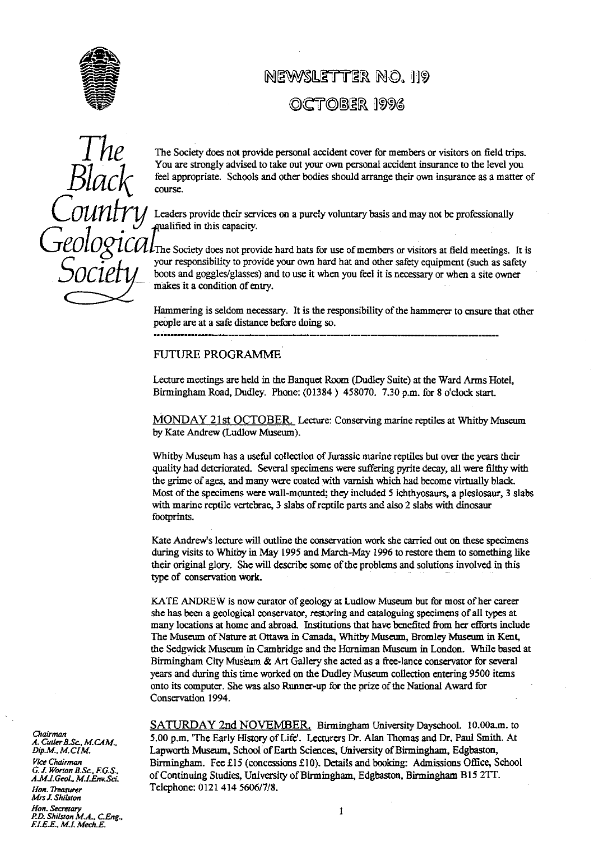

# NEWSLETTER NO. 119 OCTOBER 1996



The Society does not provide personal accident cover for members or visitors on field trips.<br>You are strongly advised to take out your own personal accident insurance to the level you feel approp**ri**ate. Schools and other bodies should arrange their own insurance as a matter of course.

> Leaders provide their services on a purely voluntary basis and may not be professionally ualified in this capacity.

 $\iint$ The Society does not provide hard hats for use of members or visitors at field meetings. It is your responsibility to provide your own hard hat and other safety equipment (such as safety boots and goggles/glasses) and to use it when you feel it is necessary or when a site owner makes it a condition of ent**ry**.

Hammering is seldom necessary. It is the responsibili**ty** of the hammerer to ensure that other people are at a safe distance before doing so.

## FUTURE PROGRAMME

Lecture meetings are held in the Banquet Room (Dudley Suite) at the Ward Arms Hotel, Birmingham Road, Dudley. Phone: (01384) 458070. 7.30 p.m. for 8 o'clock sta**rt**.

MONDAY 21st OCTOBER. Lecture: Conserving marine reptiles at Whitby Museum by Kate Andrew (Ludlow Museum).

Whitby Museum has a useful collection of Jurassic marine reptiles but over the years their quality had deteriorated. Several specimens were suffering pyrite decay, all were filthy with the grime of ages, and many were coated with varnish which had become virtually black. Most of the specimens were wall-mounted; they included 5 ichthyosaurs, a plesiosaur, 3 slabs with marine reptile vertebrae, 3 slabs of reptile parts and also 2 slabs with dinosaur footprints.

Kate Andrew's lecture will outline the conservation work she carried out on these specimens during visits to Whitby in May 1995 and March-May 1996 to restore them to something like their original glory. She wi**ll** describe some of the problems and solutions involved in this type of conservation work.

KATE ANDREW is now curator of geology at Ludlow Museum but for most of her career she has been a geological conservator, restoring and cataloguing specimens of all types at many locations at home and abroad. Institutions that have benefited from her efforts include The Museum of Nature at Ottawa in Canada, Whitby Museum, Bromley Museum in Kent, the Sedgwick Museum in Cambridge and the Hornixnan Museum in London. While b**as**ed at Birmingham City Museum & A**rt** Galle**ry** she acted as a free-lance conservator for several years and during this time worked on the Dudley Museum collection entering 9500 items onto its computer. She was also Runner-up for the prize of the National Award for Conservation I994.

Chairman *A. CuzlerB.Sc., M.CAM..* .<br>*G. J. Worton B.Sc., F.G.S.,<br>A.M.I.Geol., M.I.Env.Sci*. *Mrs J. Shifstoa Hon. Secretary <sup>1</sup> P.D. ShiLuon M.A., C.Eng.,*

*FLEE. M.I. Mech.E*

SATURDAY 2nd NOVEMBER. Birmingham University Dayschool. 10.00a.m. to 5.00 p.m. 'The Early History of Life'. Lecturers Dr. Alan Thomas and Dr. Paul Smith. At *Dip.M., M.CIM.* Lapworth Museum, **School of** Earth Sciences, University of Birmingham, Edgbaston, *Vice Chairman* Birmingham. Fee £15 (concessions £10). Details and booking: Admissions Office, School *A.M.I.Geol.,1*►*^^.E'nv sc^\_* of Continuing Studies, University g of Hirmin Brmingham, , Ed baston, Birmin am **Edgbaston,** Birmingham **B15** \_**TT.** *1Yon. Treasurer* Telephone: 0121 414 5606/7/8.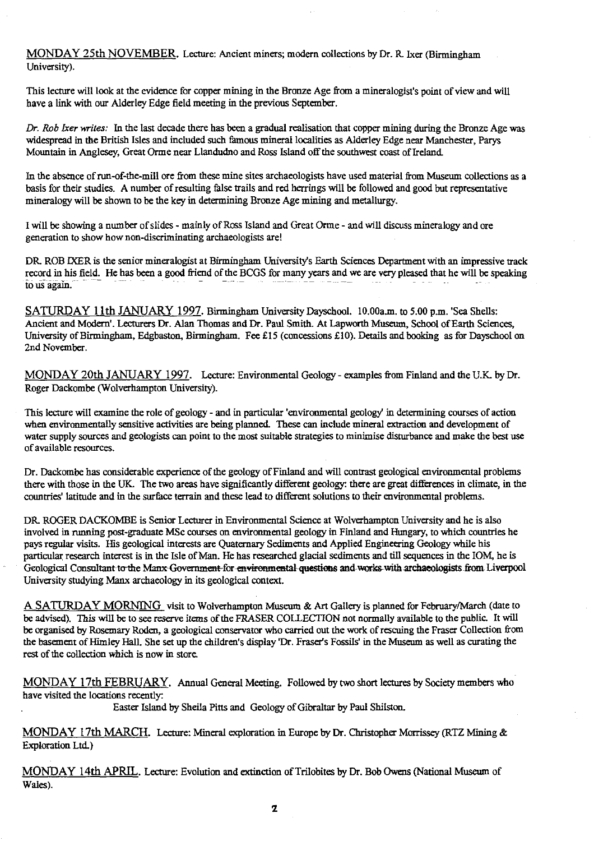MONDAY 25th NOVEMBER. Lecture: Ancient miners; modern collections by Dr. R Ixer (Birmingham University).

This lecture will look at the evidence for copper mining in the Bronze Age from a mineralogist's point of view and will have a link with our Alderley Edge field meeting in the previous September.

*Dr. Rob Ixer writes:* In the last decade there has been a gradual realisation that copper mining during the Bronze Age was widespread in the British Isles and included such famous mineral localities as Alderley Edge near Manchester, Parys Mountain in Anglesey, Great Orme near Llandudno and Ross Island off the southwest coast of Ireland

In the absence of run-of-the-mill ore from these mine sites archaeologists have used material from Museum collections as a basis for their studies. A number of resulting false trails and red herrings will be followed and good but representative mineralogy will be shown to be the key in determining Bronze Age mining and metallurgy.

I will be showing a number of slides - mainly of Ross Island and Great Orme - and will discuss mineralogy and ore generation to show how non-discriminating archaeologists are!

DR, ROB IXER is the senior mineralogist at Birmingham University's Earth Sciences Department with an impressive track record in his field. He has been a good friend of the BCGS for many years and we are very pleased that he *will* be speaking to us again.

SATURDAY 11th JANUARY 1997. Birmingham University Dayschool. 10.00a.m. to 5.00 p.m. 'Sea Shells: Ancient and Modern'. Lecturers Dr. Alan Thomas and Dr. Paul Smith. At Lapworth Museum, School of Earth Sciences, University of Birmingham, Edgbaston, Birmingham. Fee £15 (concessions £10). Details and booking as for Dayschool on 2nd November.

MONDAY 20th JANUARY 1997. Lecture: Environmental Geology - examples from Finland and the U.K. by Dr. Roger Dackombe (Wolverhampton University).

This lecture will examine the role of geology - and in particular 'environmental geology' in determining courses of action when environmentally sensitive activities are being planned. These can include mineral extraction and development of water supply sources and geologists can point to the most suitable strategies to minimise disturbance and make the best use of available resources.

Dr. Dackombe has considerable experience of the geology of Finland and will contrast geological environmental problems there with those in the UK. The two areas have significantly different geology: there are great differences in climate, in the countries' latitude and in the surface terrain and these lead to different solutions to their environmental problems.

DR ROGER DACKOMBE is Senior Lecturer in Environmental Science at Wolverhampton University and he is also involved in running post-graduate MSc courses on environmental geology in Finland and Hungary, to which countries he pays regular visits. His geological interests are Quaternary Sediments and Applied Engineering Geology while his particular research interest is in the Isle of Man. He has researched glacial sediments and till sequences in the IOM, he is Geological Consultant to the Manx Government-for environmental questions and works with archaeologists from Liverpool University studying Manx archaeology in its geological context.

A SATURDAY MORNING visit to Wolverhampton Museum & Art Gallery is planned for February/March (date to be advised). This will be to see reserve items of the FRASER COLLECTION not normally available to the public. It will be organised by Rosemary Roden, a geological conservator who carried out the work of rescuing the Fraser Collection from the basement of Himley Hall. She set up the children's display Dr. Fraser's Fossils' in the Museum as well as curating the rest of the collection which is now in store.

MONDAY 17th FEBRUARY. Annual General Meeting. Followed by two short lectures by Society members who have visited the locations recently:

Easter Island by Sheila Pitts and Geology of Gibraltar by Paul Shilston.

MONDAY 17th MARCH. Lecture: Mineral exploration in Europe by Dr. Christopher Morrissey (RTZ Mining & Exploration Ltd)

MONDAY 14th APRIL. Lecture: Evolution and extinction of Trilobites by Dr. Bob Owens (National Museum of Wales).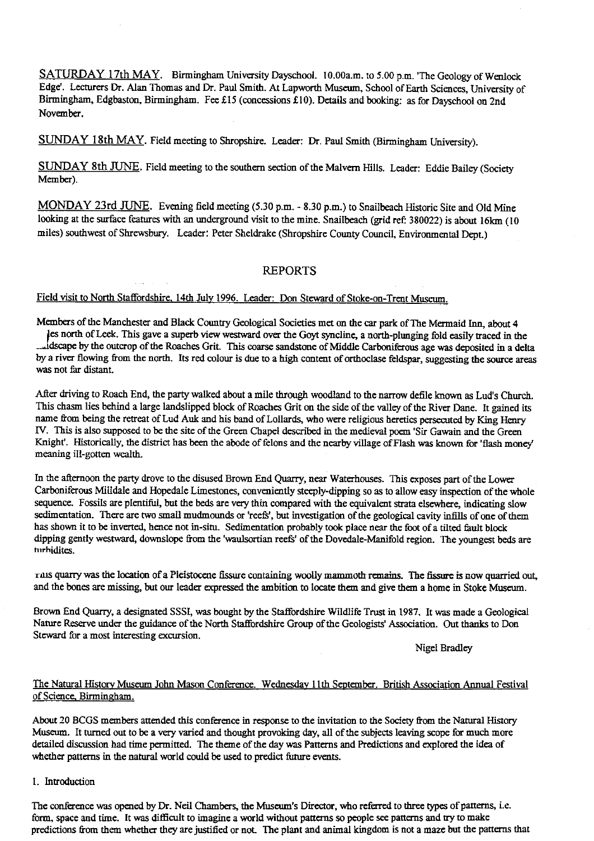SATURDAY 17th MAY. Birmingham University Dayschool. I0.00a.m. to 5.00 p.m. 'The Geology of Wenlock Edge'. Lecturers Dr. Alan Thomas and Dr. Paul Smith. At Lapworth Museum, School of Earth Sciences, University of Birmingham, Edgbaston, Birmingham. Fee £15 (concessions £10). Details and booking: as for Dayschool on 2nd November.

SUNDAY 18th MAY. Field meeting to Shropshire. Leader: Dr. Paul Smith (Birmingham University).

SUNDAY 8th JUNE . Field meeting to the southern section of the Malvern Hills. Leader: Eddie Bailey (Society Member).

MONDAY 23rd JUNE. Evening field meeting (5.30 p.m. - 8.30 p.m.) to Snailbeach Historic Site and Old Mine looking at the surface features with an underground visit to the mine. Snailbeach (grid ref: 380022) is about 16km (10 miles) southwest of Shrewsbury. Leader: Peter Sheldrake (Shropshire County Council, Environmental Dept.)

# REPORTS

#### Field visit to North Staffordshire 14th July 1996. Leader: Don Steward of Stoke-on-Trent Museum.

Members of the Manchester an*d* Black Country Geological Societies met on the car park of The Mermaid Inn, about 4

les north of Leek. This gave a superb view westward over the Goyt syncline, a north-plunging fold easily traced in the dscape by the outcrop of the Roaches Grit. This coarse sandstone of Middle Carboniferous age was deposited in a delta by a river flowing from the north. Its red colour is due to a high content of orthoclase feldspar, suggesting the source areas was not far distant.

After driving to Roach End, the party walked about a mile through woodland to the narrow defile known as Lud's Church. This chasm lies behind a large landslipped block of Roaches Grit on the side of the valley of the River Dane. It gained its name from being the retreat of Lud Auk and his band of Lollards, who were religious heretics persecuted by King Henry IV. This is also supposed to be the site of the Green Chapel described in the medieval poem 'Sir Gawain and the Green Knight'. Historically, the district has been the abode of felons and the nearby village of Flash was known for 'flash money' meaning ill-gotten wealth.

In the afternoon the party drove to the disused Brown End Quarry, near Waterhouses. This exposes part of the Lower Carboniferous Milldale and Hopedale Limestones, conveniently steeply-dipping so as to allow easy inspection of the whole sequence. Fossils are plentiful, but the beds are very thin compared with the equivalent strata elsewhere, indicating slow sedimentation. There are two small mudmounds or'reefs', but investigation of the geological cavity infills of one of them has shown it to be inverted, hence not in-situ. Sedimentation probably took place near the foot of a tilted fault block dipping gently westward, downslope from the 'waulsortian reefs' of the Dovedale-Manifold region. The youngest beds are hirhldites.

ruts quarry was the location of a Pleistocene fissure containing woolly mammoth remains. The fissure is now quarried out, and the bones are missing, but our leader expressed the ambition to locate them and give them a home in Stoke Museum.

Brown End Quarry, a designated SSSI, was bought by the Staffordshire Wildlife Trust in 1987. It was made a Geological Nature Reserve under the guidance of the North Staffordshire Group of the Geologists' Association. Out thanks to Don Steward for a most interesting excursion.

Nigel Bradley

# The Natural History Museum John Mason Conference. Wednesday 11th September. British Association Annual Festival of Science, Birmingham.

About 20 BCGS members attended this conference in response to the invitation to the Society from the Natural History Museum. It turned out to be a very varied and thought provoking day, all of the subjects leaving scope for much more detailed discussion had time permitted. The theme of the day was Patterns and Predictions and explored the idea of whether patterns in the natural world could be used to predict future events.

1. Introduction

The conference was opened by Dr. Neil Chambers, the Museum's Director, who referred to three types of patterns, i.e. form, space and time. It was difficult to imagine a world without patterns so people see patterns and try to make predictions from them whether they are justified or not. The plant and animal kingdom is not a maze but the patterns that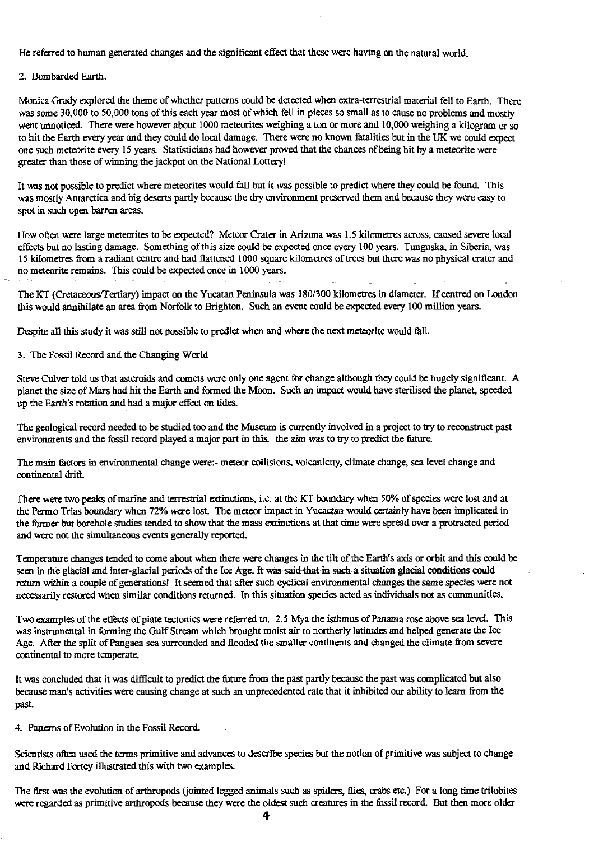He referred to human generated changes and the significant effect that these were having on the natural world

### 2. Bombarded Earth.

Monica Grady explored the theme of whether patterns could be detected when extra-terrestrial material fell to Earth. There was some 30,000 to 50,000 tons of this each year most of which fell in pieces so small as to cause no problems and mostly went unnoticed. There were however about 1000 meteorites weighing a ton or more and 10,000 weighing a kilogram or so to hit the Earth every year and they could do local damage. There were no known fatalities but in the UK we could expect one such meteorite every 15 years. Statisticians had however proved that the chances of being hit by a meteorite were greater than those of winning the jackpot on the National Lottery!

It was not possible to predict where meteorites would fall but it was possible to predict where they could be found. This was mostly Antarctica and big deserts partly because the dry environment preserved them and because they were easy to spot in such open barren areas.

How often were large meteorites to be expected? Meteor Crater in Arizona was 1.5 kilometres across, caused severe local effects but no lasting damage. Something of this size could be expected once every 100 years. Tunguska, in Siberia, was 15 kilometres from a radiant centre and had flattened 1000 square kilometres of trees but there was no physical crater and no meteorite remains. This could be expected once in 1000 years.

The KT (Cretaceous'Tertiary) impact on the Yucatan Peninsula was 180/300 kilometres in diameter. If centred on London this would annihilate an area from-Norfolk to Brighton. Such an event could be expected every 100 million years.

Despite all this study it was still not possible to predict when and where the next meteorite would fall.

3. The Fossil Record and the Changing World

Steve Culver told us that asteroids and comets were only one agent for change although they could be hugely significant. A planet the size of Mars had hit the Earth and formed the Moon. Such an impact would have sterilised the planet, speeded up the Earth's rotation and had a major effect on tides.

The geological record needed to be studied too and the Museum is currently involved in a project to try to reconstruct past environments and the fossil record played a major part in this. the aim was to try to predict the future.

The main factors in environmental change were:- meteor collisions, volcanicity, climate change, sea level change and continental drift.

There were two peaks of marine and terrestrial extinctions, i.e. at the KT boundary when 50% of species were lost and at the Permo Trias boundary when 72% were lost. The meteor impact in Yucactan would certainly have been implicated in the former but borehole studies tended to show that the mass extinctions at that time were spread over a protracted period and were not the simultaneous events generally reported.

Temperature changes tended to come about when there were changes in the tilt of the Earth's axis or orbit and this could be seen in the glacial and inter-glacial periods of the Ice Age. It was said-that in such-a situation glacial conditions could return within a couple of generations! It seemed that after such cyclical environmental changes the same species were not necessarily restored when similar conditions returned. In this situation species acted as individuals not as communities.

Two examples of the effects of plate tectonics were referred to. 2.5 Mya the isthmus of Panama rose above sea level. This was instrumental in forming the Gulf Stream which brought moist air to northerly latitudes and helped generate the Ice Age. After the split of Pangaea sea surrounded and flooded the smaller continents and changed the climate from severe continental to more temperate.

It was concluded that it was difficult to predict the future from the past partly because the past was complicated but also because man's activities were causing change at such an unprecedented rate that it inhibited our ability to learn from the past.

4. Patterns of Evolution in the Fossil Record.

Scientists often used the terms primitive and advances to describe species but the notion of primitive was subject to change and Richard Fortey illustrated this with two examples.

The first was the evolution of arthropods (jointed legged animals such as spiders, flies, crabs etc.) For a long time trilobites were regarded as primitive arthropods because they were the oldest such creatures in the fossil record. But then more older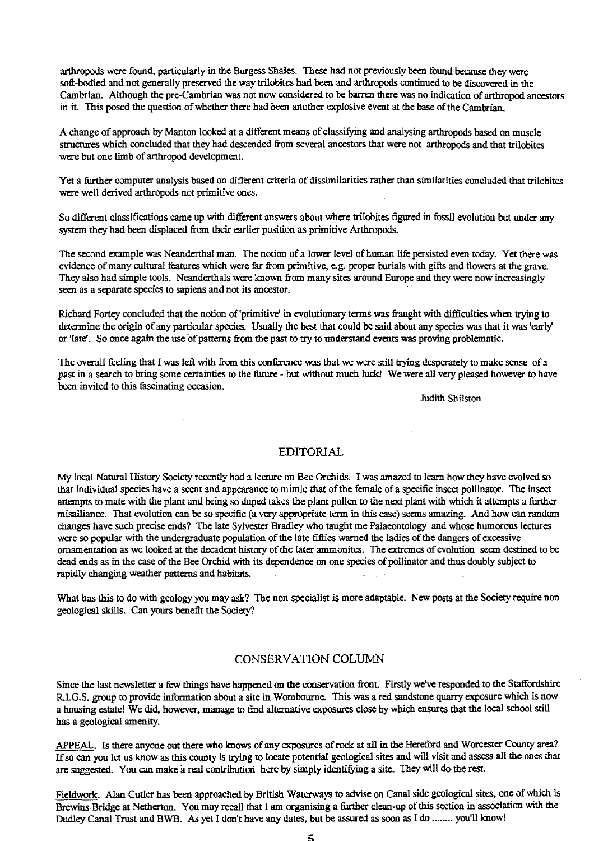arthropods were found, particularly in the Burgess Shales. These had not previously been found because they were soft-bodied and not generally preserved the way trilobites had been and arthropods continued to be discovered in the Cambrian. Although the pre-Cambrian was not now considered to be barren there was no indication of arthropod ancestors in it. This posed the question of whether there had been another explosive event at the base of the Cambrian.

A change of approach by Manton looked at a different means of classifying and analysing arthropods based on muscle structures which concluded that they had descended from several ancestors that were not arthropods and that trilobites were but one limb of arthropod development.

Yet a further computer analysis based on different criteria of dissimilarities rather than similarities concluded that trilobites were well derived arthropods not primitive ones.

So different classifications came up with different answers about where trilobites figured in fossil evolution but under any system they had been displaced from their earlier position as primitive Arthropods.

The second example was Neanderthal man. The notion of a lower level of human life persisted even today. Yet there was evidence of many cultural features which were far from primitive, e.g. proper burials with gifts and flowers at the grave. They also had simple tools. Neanderthals were known from many sites around Europe and they were now increasingly seen as a separate species to sapiens and not its ancestor.

Richard Fortey concluded that the notion of'primitive' in evolutionary terms was fraught with difficulties when trying to determine the origin of any particular species. Usually the best that could be said about any species was that it was 'early or 'late'. So once again the use of patterns from the past to try to understand events was proving problematic.

The overall feeling that I was left with from this conference was that we were still trying desperately to make sense of a past in a search to bring some certainties to the future - but without much luck! We were all very pleased however to have been invited to this fascinating occasion.

Judith Shilston

### EDITORIAL

My local Natural History Society recently had a lecture on Bee Orchids. I was amazed to learn how they have evolved so that individual species have a scent and appearance to mimic that of the female of a specific insect pollinator. The insect attempts to mate with the plant and being so duped takes the plant pollen to the next plant with which it attempts a further misalliance. That evolution can be so specific (a very appropriate term in this case) seems amazing. And how can random changes have such precise ends? The late Sylvester Bradley who taught me Palaeontology and whose humorous lectures were so popular with the undergraduate population of the late fifties warned the ladies of the dangers of excessive ornamentation as we looked at the decadent history of the later ammonites. The extremes of evolution seem destined to be dead ends as in the case of the Bee Orchid with its dependence on one species of pollinator and thus doubly subject to rapidly changing weather patterns and habitats.

What has this to do with geology you may ask? The non specialist is more adaptable. New posts at the Society require non geological skills. Can yours benefit the Society?

## CONSERVATION COLUMN

Since the last newsletter a few things have happened on the conservation front. Firstly we've responded to the Staffordshire R.I.G.S. group to provide information about a site in Wombourne. This was a red sandstone quarry exposure which is now a housing estate! We did, however, manage to find alternative exposures close by which ensures that the local school still has a geological amenity.

APPEAL. Is there anyone out there who knows of any exposures of rock at all in the Hereford and Worcester County area? If so can you let us know as this county is trying to locate potential geological sites and will visit and assess all the ones that are suggested. You can make a real contribution here by simply identifying a site. They will do the rest.

Fieldwork. Alan Cutler has been approached by British Waterways to advise on Canal side geological sites, one of which is Brewins Bridge at Netherton. You may recall that I am organising a further clean-up of this section in association with the Dudley Canal Trust and BWB. As yet I don't have any dates, but be assured as soon as I do ........ you'll know!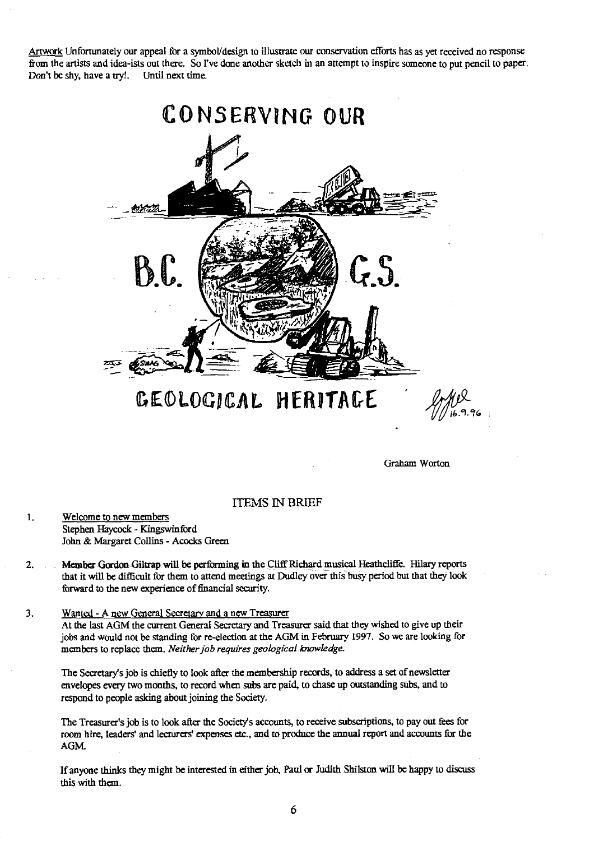Artwork Unfortunately our appeal for a symbol/design to illustrate our conservation efforts has as yet received no response from the artists and idea-ists out there. So I've done another sketch in an attempt to inspire someone to put pencil to paper.<br>Don't be shy, have a try!. Until next time. Don't be shy, have a try!.



GEOLOGICAL HERITACE

Graham Worton

## ITEMS IN BRIEF

- $\mathbf{1}$ . Welcome to new members Stephen Haycock - Kingswinford John & Margaret Collins - Acocks Green
- 2. Member Gordon Giltrap will be performing in the Cliff Richard musical Heathcliffe. Hilary reports that it will be difficult for them to attend meetings at Dudley over this busy period but that they look forward to the new experience of financial security.
- 3. Wanted Anew General Secretay and a new Treasurer

At the last AGM the current General Secretary and Treasurer said that *they* wished to give up their jobs and would not be standing for re-election at the AGM in February 1997. So we are looking for members to replace them. *Neither job requires geological knowledge\_*

The Secretary's job is chiefly to look after the membership records, to address a set of newsletter envelopes every two months, to record when subs are paid, to chase up outstanding subs, and to respond to people asking about joining the Society.

The Treasurer's job is to look after the Society's accounts, to receive subscriptions, to pay out fees for room hire, leaders' and lecturers' expenses etc., and to produce the annual report and accounts for the AGM.

If anyone thinks they might be interested in either job, Paul or Judith Shilston will be happy to discuss this with them.